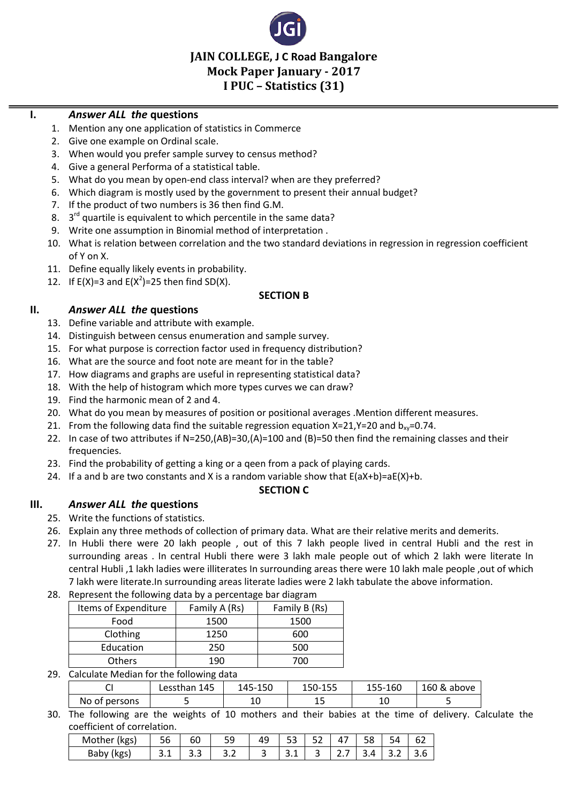

**JAIN COLLEGE, J C Road Bangalore Mock Paper January - 2017 I PUC – Statistics (31)** 

### **I.** *Answer ALL the* **questions**

- 1. Mention any one application of statistics in Commerce
- 2. Give one example on Ordinal scale.
- 3. When would you prefer sample survey to census method?
- 4. Give a general Performa of a statistical table.
- 5. What do you mean by open-end class interval? when are they preferred?
- 6. Which diagram is mostly used by the government to present their annual budget?
- 7. If the product of two numbers is 36 then find G.M.
- 8.  $3<sup>rd</sup>$  quartile is equivalent to which percentile in the same data?
- 9. Write one assumption in Binomial method of interpretation .
- 10. What is relation between correlation and the two standard deviations in regression in regression coefficient of Y on X.
- 11. Define equally likely events in probability.
- 12. If  $E(X)=3$  and  $E(X^2)=25$  then find SD(X).

#### **SECTION B**

### **II.** *Answer ALL the* **questions**

- 13. Define variable and attribute with example.
- 14. Distinguish between census enumeration and sample survey.
- 15. For what purpose is correction factor used in frequency distribution?
- 16. What are the source and foot note are meant for in the table?
- 17. How diagrams and graphs are useful in representing statistical data?
- 18. With the help of histogram which more types curves we can draw?
- 19. Find the harmonic mean of 2 and 4.
- 20. What do you mean by measures of position or positional averages .Mention different measures.
- 21. From the following data find the suitable regression equation  $X=21$ ,  $Y=20$  and  $b_{xy}=0.74$ .
- 22. In case of two attributes if N=250,(AB)=30,(A)=100 and (B)=50 then find the remaining classes and their frequencies.
- 23. Find the probability of getting a king or a qeen from a pack of playing cards.
- 24. If a and b are two constants and X is a random variable show that  $E(aX+b)=aE(X)+b$ .

#### **SECTION C**

# **III.** *Answer ALL the* **questions**

- 25. Write the functions of statistics.
- 26. Explain any three methods of collection of primary data. What are their relative merits and demerits.
- 27. In Hubli there were 20 lakh people , out of this 7 lakh people lived in central Hubli and the rest in surrounding areas . In central Hubli there were 3 lakh male people out of which 2 lakh were literate In central Hubli ,1 lakh ladies were illiterates In surrounding areas there were 10 lakh male people ,out of which 7 lakh were literate.In surrounding areas literate ladies were 2 lakh tabulate the above information.
- 28. Represent the following data by a percentage bar diagram

| Items of Expenditure | Family A (Rs) | Family B (Rs) |
|----------------------|---------------|---------------|
| Food                 | 1500          | 1500          |
| Clothing             | 1250          | 600           |
| Education            | 250           | 500           |
| <b>Others</b>        | 19N           | 700           |

29. Calculate Median for the following data

|               | Lessthan 145 | 145-150 | 150-155   | 155-160 | 160 & above |
|---------------|--------------|---------|-----------|---------|-------------|
| No of persons |              | л<br>ᅩ  | -<br>ــ ـ | л<br>ᅩ  |             |

30. The following are the weights of 10 mothers and their babies at the time of delivery. Calculate the coefficient of correlation.

| Mother<br>(kgs) |          | ьu       | 59<br>ー | . . | $ \sim$ | $-1$ | $\overline{\phantom{0}}$<br>47 | $-1$<br>ъ× |    |     |
|-----------------|----------|----------|---------|-----|---------|------|--------------------------------|------------|----|-----|
| Baby<br>kgs     | <u>.</u> | <u>.</u> | 3.2     |     | ـ . ـ   | ــ   | ، ـ                            |            | -- | 3.6 |